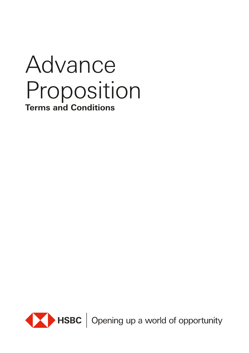# Advance Proposition **Terms and Conditions**



HSBC | Opening up a world of opportunity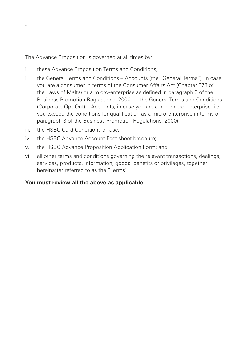The Advance Proposition is governed at all times by:

- i. these Advance Proposition Terms and Conditions;
- ii. the General Terms and Conditions Accounts (the "General Terms"), in case you are a consumer in terms of the Consumer Affairs Act (Chapter 378 of the Laws of Malta) or a micro-enterprise as defined in paragraph 3 of the Business Promotion Regulations, 2000; or the General Terms and Conditions (Corporate Opt-Out) – Accounts, in case you are a non-micro-enterprise (i.e. you exceed the conditions for qualification as a micro-enterprise in terms of paragraph 3 of the Business Promotion Regulations, 2000);
- iii. the HSBC Card Conditions of Use;
- iv. the HSBC Advance Account Fact sheet brochure;
- v. the HSBC Advance Proposition Application Form; and
- vi. all other terms and conditions governing the relevant transactions, dealings, services, products, information, goods, benefits or privileges, together hereinafter referred to as the "Terms".

# **You must review all the above as applicable.**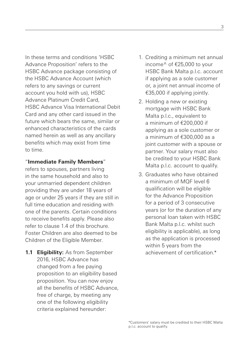In these terms and conditions 'HSBC Advance Proposition' refers to the HSBC Advance package consisting of the HSBC Advance Account (which refers to any savings or current account you hold with us), HSBC Advance Platinum Credit Card, HSBC Advance Visa International Debit Card and any other card issued in the future which bears the same, similar or enhanced characteristics of the cards named herein as well as any ancillary benefits which may exist from time to time.

#### "**Immediate Family Members**"

refers to spouses, partners living in the same household and also to your unmarried dependent children providing they are under 18 years of age or under 25 years if they are still in full time education and residing with one of the parents. Certain conditions to receive benefits apply. Please also refer to clause 1.4 of this brochure. Foster Children are also deemed to be Children of the Eligible Member.

**1.1 Eligibility:** As from September 2016, HSBC Advance has changed from a fee paying proposition to an eligibility based proposition. You can now enjoy all the benefits of HSBC Advance, free of charge, by meeting any one of the following eligibility criteria explained hereunder:

- 1. Crediting a minimum net annual income^ of €25,000 to your HSBC Bank Malta p.l.c. account if applying as a sole customer or, a joint net annual income of €35,000 if applying jointly.
- 2. Holding a new or existing mortgage with HSBC Bank Malta p.l.c., equivalent to a minimum of €200,000 if applying as a sole customer or a minimum of €300,000 as a joint customer with a spouse or partner. Your salary must also be credited to your HSBC Bank Malta p.l.c. account to qualify.
- 3. Graduates who have obtained a minimum of MQF level 6 qualification will be eligible for the Advance Proposition for a period of 3 consecutive years (or for the duration of any personal loan taken with HSBC Bank Malta p.l.c. whilst such eligibility is applicable), as long as the application is processed within 5 years from the achievement of certification.\*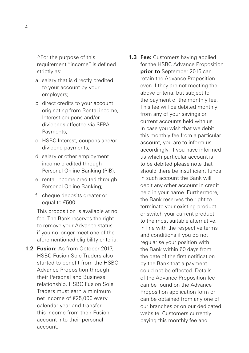^For the purpose of this requirement "income" is defined strictly as:

- a. salary that is directly credited to your account by your employers;
- b. direct credits to your account originating from Rental income, Interest coupons and/or dividends affected via SEPA Payments;
- c. HSBC Interest, coupons and/or dividend payments;
- d. salary or other employment income credited through Personal Online Banking (PIB);
- e. rental income credited through Personal Online Banking;
- f. cheque deposits greater or equal to €500.

This proposition is available at no fee. The Bank reserves the right to remove your Advance status if you no longer meet one of the aforementioned eligibility criteria.

- **1.2 Fusion:** As from October 2017, HSBC Fusion Sole Traders also started to benefit from the HSBC Advance Proposition through their Personal and Business relationship. HSBC Fusion Sole Traders must earn a minimum net income of €25,000 every calendar year and transfer this income from their Fusion account into their personal account.
- **1.3 Fee:** Customers having applied for the HSBC Advance Proposition **prior to** September 2016 can retain the Advance Proposition even if they are not meeting the above criteria, but subject to the payment of the monthly fee. This fee will be debited monthly from any of your savings or current accounts held with us. In case you wish that we debit this monthly fee from a particular account, you are to inform us accordingly. If you have informed us which particular account is to be debited please note that should there be insufficient funds in such account the Bank will debit any other account in credit held in your name. Furthermore, the Bank reserves the right to terminate your existing product or switch your current product to the most suitable alternative, in line with the respective terms and conditions if you do not regularise your position with the Bank within 60 days from the date of the first notification by the Bank that a payment could not be effected. Details of the Advance Proposition fee can be found on the Advance Proposition application form or can be obtained from any one of our branches or on our dedicated website. Customers currently paying this monthly fee and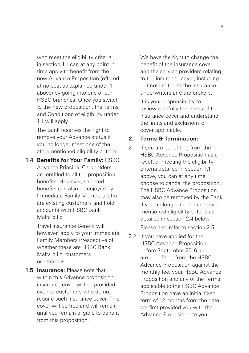who meet the eligibility criteria in section 1.1 can at any point in time apply to benefit from the new Advance Proposition (offered at no cost as explained under 1.1 above) by going into one of our HSBC branches. Once you switch to the new proposition, the Terms and Conditions of eligibility under 1.1 will apply.

The Bank reserves the right to remove your Advance status if you no longer meet one of the aforementioned eligibility criteria.

**1.4 Benefits for Your Family:** HSBC Advance Principal Cardholders are entitled to all the proposition benefits. However, selected benefits can also be enjoyed by Immediate Family Members who are existing customers and hold accounts with HSBC Bank Malta p.l.c.

> Travel insurance Benefit will, however, apply to your Immediate Family Members irrespective of whether these are HSBC Bank Malta p.l.c. customers or otherwise.

**1.5 Insurance:** Please note that within this Advance proposition, insurance cover will be provided even to customers who do not require such insurance cover. This cover will be free and will remain until you remain eligible to benefit from this proposition.

We have the right to change the benefit of the insurance cover and the service providers relating to the insurance cover, including but not limited to the insurance underwriters and the brokers.

It is your responsibility to review carefully the terms of the insurance cover and understand the limits and exclusions of cover applicable.

## **2. Terms & Termination:**

2.1 If you are benefiting from the HSBC Advance Proposition as a result of meeting the eligibility criteria detailed in section 1.1 above, you can at any time choose to cancel the proposition. The HSBC Advance Proposition may also be removed by the Bank if you no longer meet the above mentioned eligibility criteria as detailed in section 2.4 below.

Please also refer to section 2.5.

2.2 If you have applied for the HSBC Advance Proposition before September 2016 and are benefiting from the HSBC Advance Proposition against the monthly fee, your HSBC Advance Proposition and any of the Terms applicable to the HSBC Advance Proposition have an initial fixed term of 12 months from the date we first provided you with the Advance Proposition to you.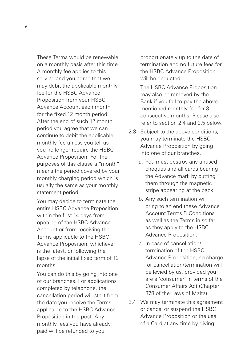These Terms would be renewable on a monthly basis after this time. A monthly fee applies to this service and you agree that we may debit the applicable monthly fee for the HSBC Advance Proposition from your HSBC Advance Account each month for the fixed 12 month period. After the end of such 12 month period you agree that we can continue to debit the applicable monthly fee unless you tell us you no longer require the HSBC Advance Proposition. For the purposes of this clause a "month" means the period covered by your monthly charging period which is usually the same as your monthly statement period.

You may decide to terminate the entire HSBC Advance Proposition within the first 14 days from opening of the HSBC Advance Account or from receiving the Terms applicable to the HSBC Advance Proposition, whichever is the latest, or following the lapse of the initial fixed term of 12 months.

You can do this by going into one of our branches. For applications completed by telephone, the cancellation period will start from the date you receive the Terms applicable to the HSBC Advance Proposition in the post. Any monthly fees you have already paid will be refunded to you

proportionately up to the date of termination and no future fees for the HSBC Advance Proposition will be deducted.

The HSBC Advance Proposition may also be removed by the Bank if you fail to pay the above mentioned monthly fee for 3 consecutive months. Please also refer to section 2.4 and 2.5 below.

- 2.3 Subject to the above conditions, you may terminate the HSBC Advance Proposition by going into one of our branches.
	- a. You must destroy any unused cheques and all cards bearing the Advance mark by cutting them through the magnetic stripe appearing at the back.
	- b. Any such termination will bring to an end these Advance Account Terms & Conditions as well as the Terms in so far as they apply to the HSBC Advance Proposition.
	- c. In case of cancellation/ termination of the HSBC Advance Proposition, no charge for cancellation/termination will be levied by us, provided you are a 'consumer' in terms of the Consumer Affairs Act (Chapter 378 of the Laws of Malta).
- 2.4 We may terminate this agreement or cancel or suspend the HSBC Advance Proposition or the use of a Card at any time by giving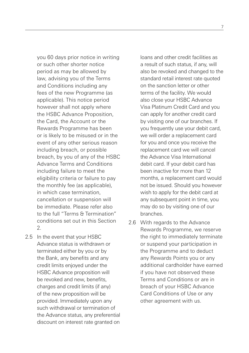you 60 days prior notice in writing or such other shorter notice period as may be allowed by law, advising you of the Terms and Conditions including any fees of the new Programme (as applicable). This notice period however shall not apply where the HSBC Advance Proposition, the Card, the Account or the Rewards Programme has been or is likely to be misused or in the event of any other serious reason including breach, or possible breach, by you of any of the HSBC Advance Terms and Conditions including failure to meet the eligibility criteria or failure to pay the monthly fee (as applicable), in which case termination, cancellation or suspension will be immediate. Please refer also to the full "Terms & Termination" conditions set out in this Section 2.

2.5 In the event that your HSBC Advance status is withdrawn or terminated either by you or by the Bank, any benefits and any credit limits enjoyed under the HSBC Advance proposition will be revoked and new, benefits, charges and credit limits (if any) of the new proposition will be provided. Immediately upon any such withdrawal or termination of the Advance status, any preferential discount on interest rate granted on

loans and other credit facilities as a result of such status, if any, will also be revoked and changed to the standard retail interest rate quoted on the sanction letter or other terms of the facility. We would also close your HSBC Advance Visa Platinum Credit Card and you can apply for another credit card by visiting one of our branches. If you frequently use your debit card, we will order a replacement card for you and once you receive the replacement card we will cancel the Advance Visa International debit card. If your debit card has been inactive for more than 12 months, a replacement card would not be issued. Should you however wish to apply for the debit card at any subsequent point in time, you may do so by visiting one of our branches.

2.6 With regards to the Advance Rewards Programme, we reserve the right to immediately terminate or suspend your participation in the Programme and to deduct any Rewards Points you or any additional cardholder have earned if you have not observed these Terms and Conditions or are in breach of your HSBC Advance Card Conditions of Use or any other agreement with us.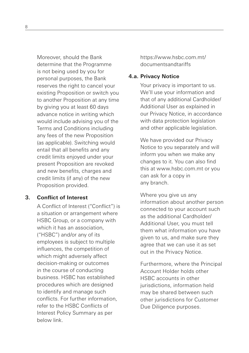Moreover, should the Bank determine that the Programme is not being used by you for personal purposes, the Bank reserves the right to cancel your existing Proposition or switch you to another Proposition at any time by giving you at least 60 days advance notice in writing which would include advising you of the Terms and Conditions including any fees of the new Proposition (as applicable). Switching would entail that all benefits and any credit limits enjoyed under your present Proposition are revoked and new benefits, charges and credit limits (if any) of the new Proposition provided.

#### **3. Conflict of Interest**

A Conflict of Interest ("Conflict") is a situation or arrangement where HSBC Group, or a company with which it has an association. ("HSBC") and/or any of its employees is subject to multiple influences, the competition of which might adversely affect decision-making or outcomes in the course of conducting business. HSBC has established procedures which are designed to identify and manage such conflicts. For further information, refer to the HSBC Conflicts of Interest Policy Summary as per below link.

https://www.hsbc.com.mt/ documentsandtariffs

#### **4.a. Privacy Notice**

Your privacy is important to us. We'll use your information and that of any additional Cardholder/ Additional User as explained in our Privacy Notice, in accordance with data protection legislation and other applicable legislation.

We have provided our Privacy Notice to you separately and will inform you when we make any changes to it. You can also find this at www.hsbc.com.mt or you can ask for a copy in any branch.

Where you give us any information about another person connected to your account such as the additional Cardholder/ Additional User, you must tell them what information you have given to us, and make sure they agree that we can use it as set out in the Privacy Notice.

Furthermore, where the Principal Account Holder holds other HSBC accounts in other jurisdictions, information held may be shared between such other jurisdictions for Customer Due Diligence purposes.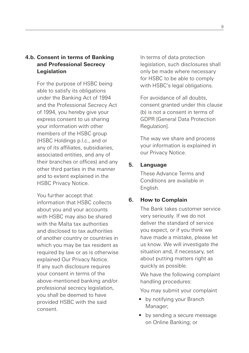## **4.b. Consent in terms of Banking and Professional Secrecy Legislation**

For the purpose of HSBC being able to satisfy its obligations under the Banking Act of 1994 and the Professional Secrecy Act of 1994, you hereby give your express consent to us sharing your information with other members of the HSBC group (HSBC Holdings p.l.c., and or any of its affiliates, subsidiaries, associated entities, and any of their branches or offices) and any other third parties in the manner and to extent explained in the HSBC Privacy Notice.

You further accept that information that HSBC collects about you and your accounts with HSBC may also be shared with the Malta tax authorities and disclosed to tax authorities of another country or countries in which you may be tax resident as required by law or as is otherwise explained Our Privacy Notice. If any such disclosure requires your consent in terms of the above-mentioned banking and/or professional secrecy legislation, you shall be deemed to have provided HSBC with the said consent.

In terms of data protection legislation, such disclosures shall only be made where necessary for HSBC to be able to comply with HSBC's legal obligations.

For avoidance of all doubts, consent granted under this clause (b) is not a consent in terms of GDPR [General Data Protection Regulation].

The way we share and process your information is explained in our Privacy Notice.

## **5. Language**

These Advance Terms and Conditions are available in English.

#### **6. How to Complain**

The Bank takes customer service very seriously. If we do not deliver the standard of service you expect, or if you think we have made a mistake, please let us know. We will investigate the situation and, if necessary, set about putting matters right as quickly as possible.

We have the following complaint handling procedures:

You may submit your complaint

- by notifying your Branch Manager;
- by sending a secure message on Online Banking; or